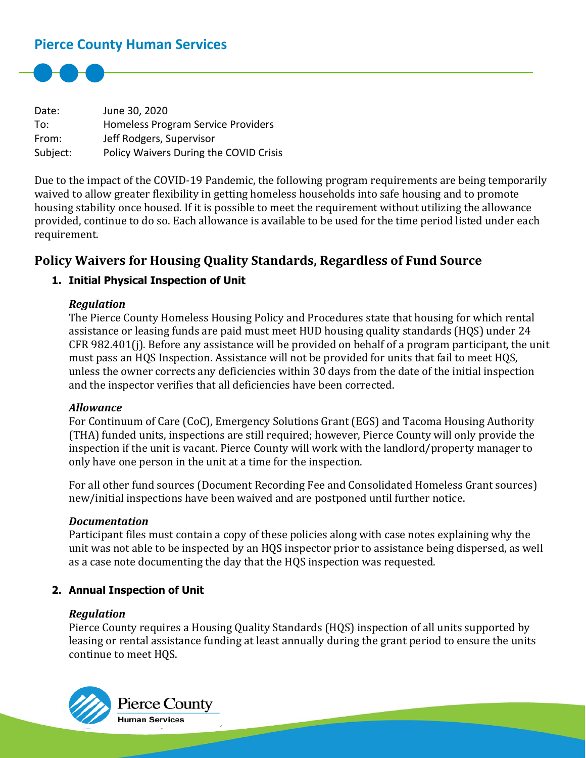# **Pierce County Human Services**



Date: June 30, 2020 To: Homeless Program Service Providers From: Jeff Rodgers, Supervisor Subject: Policy Waivers During the COVID Crisis

Due to the impact of the COVID-19 Pandemic, the following program requirements are being temporarily waived to allow greater flexibility in getting homeless households into safe housing and to promote housing stability once housed. If it is possible to meet the requirement without utilizing the allowance provided, continue to do so. Each allowance is available to be used for the time period listed under each requirement.

# **Policy Waivers for Housing Quality Standards, Regardless of Fund Source**

### **1. Initial Physical Inspection of Unit**

#### *Regulation*

The Pierce County Homeless Housing Policy and Procedures state that housing for which rental assistance or leasing funds are paid must meet HUD housing quality standards (HQS) under 24 CFR 982.401(j). Before any assistance will be provided on behalf of a program participant, the unit must pass an HQS Inspection. Assistance will not be provided for units that fail to meet HQS, unless the owner corrects any deficiencies within 30 days from the date of the initial inspection and the inspector verifies that all deficiencies have been corrected.

#### *Allowance*

For Continuum of Care (CoC), Emergency Solutions Grant (EGS) and Tacoma Housing Authority (THA) funded units, inspections are still required; however, Pierce County will only provide the inspection if the unit is vacant. Pierce County will work with the landlord/property manager to only have one person in the unit at a time for the inspection.

For all other fund sources (Document Recording Fee and Consolidated Homeless Grant sources) new/initial inspections have been waived and are postponed until further notice.

#### *Documentation*

Participant files must contain a copy of these policies along with case notes explaining why the unit was not able to be inspected by an HQS inspector prior to assistance being dispersed, as well as a case note documenting the day that the HQS inspection was requested.

#### **2. Annual Inspection of Unit**

#### *Regulation*

Pierce County requires a Housing Quality Standards (HQS) inspection of all units supported by leasing or rental assistance funding at least annually during the grant period to ensure the units continue to meet HQS.

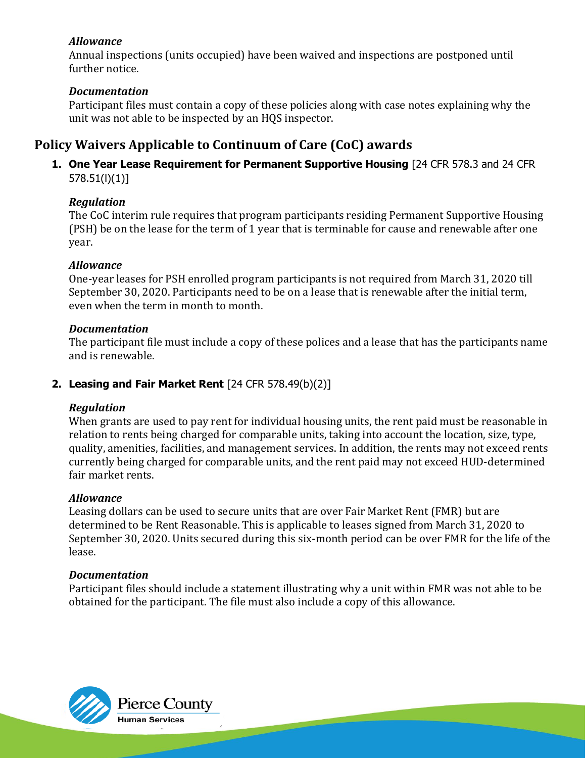Annual inspections (units occupied) have been waived and inspections are postponed until further notice.

# *Documentation*

Participant files must contain a copy of these policies along with case notes explaining why the unit was not able to be inspected by an HQS inspector.

# **Policy Waivers Applicable to Continuum of Care (CoC) awards**

**1. One Year Lease Requirement for Permanent Supportive Housing** [24 CFR 578.3 and 24 CFR 578.51(l)(1)]

# *Regulation*

The CoC interim rule requires that program participants residing Permanent Supportive Housing (PSH) be on the lease for the term of 1 year that is terminable for cause and renewable after one year.

# *Allowance*

One-year leases for PSH enrolled program participants is not required from March 31, 2020 till September 30, 2020. Participants need to be on a lease that is renewable after the initial term, even when the term in month to month.

# *Documentation*

The participant file must include a copy of these polices and a lease that has the participants name and is renewable.

# **2. Leasing and Fair Market Rent** [24 CFR 578.49(b)(2)]

## *Regulation*

When grants are used to pay rent for individual housing units, the rent paid must be reasonable in relation to rents being charged for comparable units, taking into account the location, size, type, quality, amenities, facilities, and management services. In addition, the rents may not exceed rents currently being charged for comparable units, and the rent paid may not exceed HUD-determined fair market rents.

## *Allowance*

Leasing dollars can be used to secure units that are over Fair Market Rent (FMR) but are determined to be Rent Reasonable. This is applicable to leases signed from March 31, 2020 to September 30, 2020. Units secured during this six-month period can be over FMR for the life of the lease.

## *Documentation*

Participant files should include a statement illustrating why a unit within FMR was not able to be obtained for the participant. The file must also include a copy of this allowance.

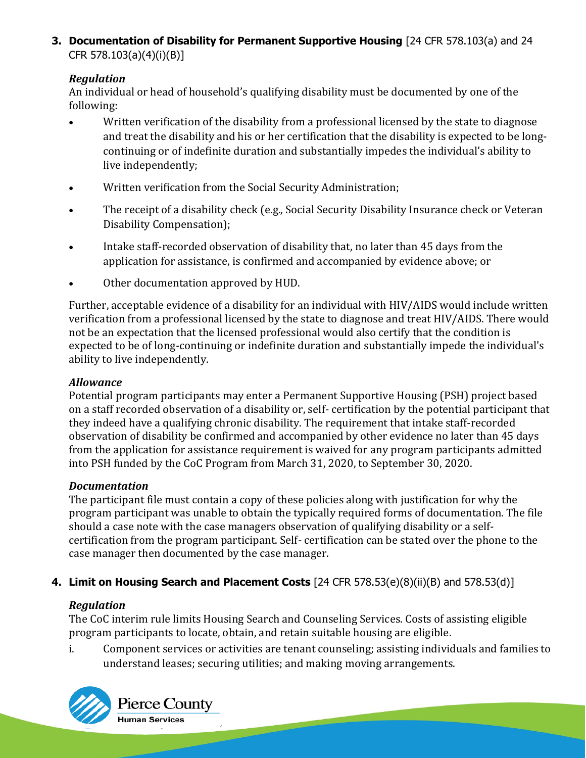**3. Documentation of Disability for Permanent Supportive Housing** [24 CFR 578.103(a) and 24 CFR 578.103(a)(4)(i)(B)]

# *Regulation*

An individual or head of household's qualifying disability must be documented by one of the following:

- Written verification of the disability from a professional licensed by the state to diagnose and treat the disability and his or her certification that the disability is expected to be longcontinuing or of indefinite duration and substantially impedes the individual's ability to live independently;
- Written verification from the Social Security Administration;
- The receipt of a disability check (e.g., Social Security Disability Insurance check or Veteran Disability Compensation);
- Intake staff-recorded observation of disability that, no later than 45 days from the application for assistance, is confirmed and accompanied by evidence above; or
- Other documentation approved by HUD.

Further, acceptable evidence of a disability for an individual with HIV/AIDS would include written verification from a professional licensed by the state to diagnose and treat HIV/AIDS. There would not be an expectation that the licensed professional would also certify that the condition is expected to be of long-continuing or indefinite duration and substantially impede the individual's ability to live independently.

## *Allowance*

Potential program participants may enter a Permanent Supportive Housing (PSH) project based on a staff recorded observation of a disability or, self- certification by the potential participant that they indeed have a qualifying chronic disability. The requirement that intake staff-recorded observation of disability be confirmed and accompanied by other evidence no later than 45 days from the application for assistance requirement is waived for any program participants admitted into PSH funded by the CoC Program from March 31, 2020, to September 30, 2020.

## *Documentation*

The participant file must contain a copy of these policies along with justification for why the program participant was unable to obtain the typically required forms of documentation. The file should a case note with the case managers observation of qualifying disability or a selfcertification from the program participant. Self- certification can be stated over the phone to the case manager then documented by the case manager.

# **4. Limit on Housing Search and Placement Costs** [24 CFR 578.53(e)(8)(ii)(B) and 578.53(d)]

## *Regulation*

The CoC interim rule limits Housing Search and Counseling Services. Costs of assisting eligible program participants to locate, obtain, and retain suitable housing are eligible.

i. Component services or activities are tenant counseling; assisting individuals and families to understand leases; securing utilities; and making moving arrangements.



Pierce County -<br>Human Services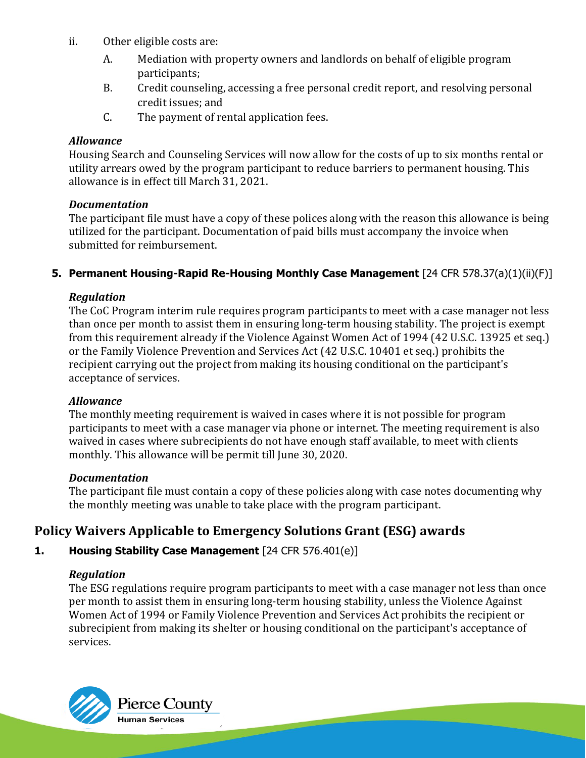- ii. Other eligible costs are:
	- A. Mediation with property owners and landlords on behalf of eligible program participants;
	- B. Credit counseling, accessing a free personal credit report, and resolving personal credit issues; and
	- C. The payment of rental application fees.

Housing Search and Counseling Services will now allow for the costs of up to six months rental or utility arrears owed by the program participant to reduce barriers to permanent housing. This allowance is in effect till March 31, 2021.

#### *Documentation*

The participant file must have a copy of these polices along with the reason this allowance is being utilized for the participant. Documentation of paid bills must accompany the invoice when submitted for reimbursement.

### **5. Permanent Housing-Rapid Re-Housing Monthly Case Management** [24 CFR 578.37(a)(1)(ii)(F)]

### *Regulation*

The CoC Program interim rule requires program participants to meet with a case manager not less than once per month to assist them in ensuring long-term housing stability. The project is exempt from this requirement already if the Violence Against Women Act of 1994 (42 U.S.C. 13925 et seq.) or the Family Violence Prevention and Services Act (42 U.S.C. 10401 et seq.) prohibits the recipient carrying out the project from making its housing conditional on the participant's acceptance of services.

#### *Allowance*

The monthly meeting requirement is waived in cases where it is not possible for program participants to meet with a case manager via phone or internet. The meeting requirement is also waived in cases where subrecipients do not have enough staff available, to meet with clients monthly. This allowance will be permit till June 30, 2020.

#### *Documentation*

The participant file must contain a copy of these policies along with case notes documenting why the monthly meeting was unable to take place with the program participant.

# **Policy Waivers Applicable to Emergency Solutions Grant (ESG) awards**

# **1. Housing Stability Case Management** [24 CFR 576.401(e)]

## *Regulation*

The ESG regulations require program participants to meet with a case manager not less than once per month to assist them in ensuring long-term housing stability, unless the Violence Against Women Act of 1994 or Family Violence Prevention and Services Act prohibits the recipient or subrecipient from making its shelter or housing conditional on the participant's acceptance of services.

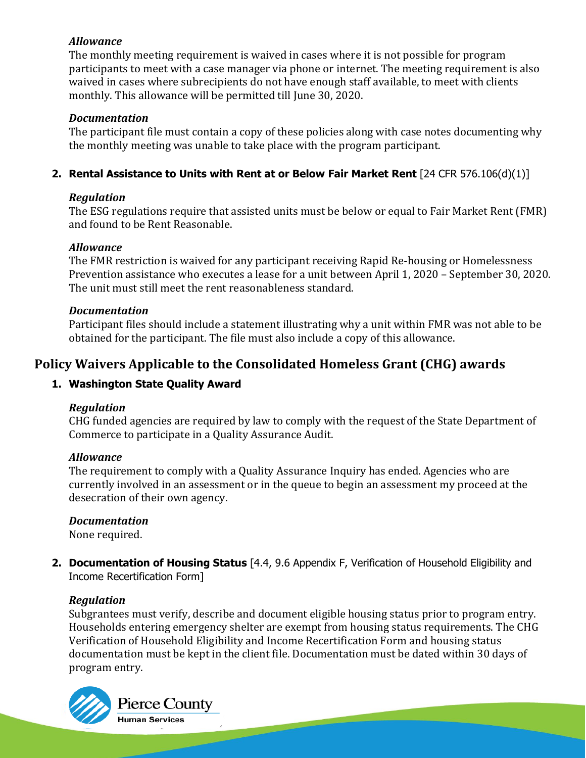The monthly meeting requirement is waived in cases where it is not possible for program participants to meet with a case manager via phone or internet. The meeting requirement is also waived in cases where subrecipients do not have enough staff available, to meet with clients monthly. This allowance will be permitted till June 30, 2020.

# *Documentation*

The participant file must contain a copy of these policies along with case notes documenting why the monthly meeting was unable to take place with the program participant.

# **2. Rental Assistance to Units with Rent at or Below Fair Market Rent** [24 CFR 576.106(d)(1)]

# *Regulation*

The ESG regulations require that assisted units must be below or equal to Fair Market Rent (FMR) and found to be Rent Reasonable.

# *Allowance*

The FMR restriction is waived for any participant receiving Rapid Re-housing or Homelessness Prevention assistance who executes a lease for a unit between April 1, 2020 – September 30, 2020. The unit must still meet the rent reasonableness standard.

# *Documentation*

Participant files should include a statement illustrating why a unit within FMR was not able to be obtained for the participant. The file must also include a copy of this allowance.

# **Policy Waivers Applicable to the Consolidated Homeless Grant (CHG) awards**

# **1. Washington State Quality Award**

# *Regulation*

CHG funded agencies are required by law to comply with the request of the State Department of Commerce to participate in a Quality Assurance Audit.

## *Allowance*

The requirement to comply with a Quality Assurance Inquiry has ended. Agencies who are currently involved in an assessment or in the queue to begin an assessment my proceed at the desecration of their own agency.

# *Documentation*

None required.

**2. Documentation of Housing Status** [4.4, 9.6 Appendix F, Verification of Household Eligibility and Income Recertification Form]

# *Regulation*

Subgrantees must verify, describe and document eligible housing status prior to program entry. Households entering emergency shelter are exempt from housing status requirements. The CHG Verification of Household Eligibility and Income Recertification Form and housing status documentation must be kept in the client file. Documentation must be dated within 30 days of program entry.



Pierce County Human Services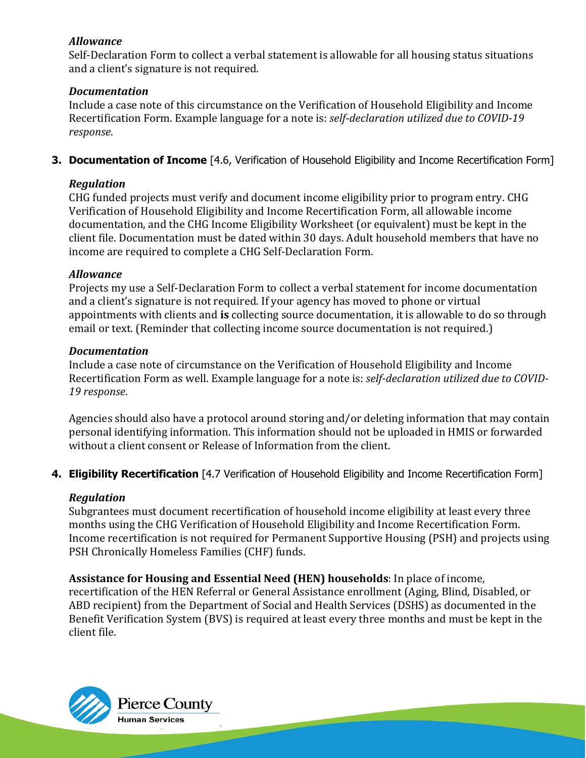Self-Declaration Form to collect a verbal statement is allowable for all housing status situations and a client's signature is not required.

#### *Documentation*

Include a case note of this circumstance on the Verification of Household Eligibility and Income Recertification Form. Example language for a note is: *self-declaration utilized due to COVID-19 response*.

**3. Documentation of Income** [4.6, Verification of Household Eligibility and Income Recertification Form]

## *Regulation*

CHG funded projects must verify and document income eligibility prior to program entry. CHG Verification of Household Eligibility and Income Recertification Form, all allowable income documentation, and the CHG Income Eligibility Worksheet (or equivalent) must be kept in the client file. Documentation must be dated within 30 days. Adult household members that have no income are required to complete a CHG Self-Declaration Form.

### *Allowance*

Projects my use a Self-Declaration Form to collect a verbal statement for income documentation and a client's signature is not required. If your agency has moved to phone or virtual appointments with clients and **is** collecting source documentation, it is allowable to do so through email or text. (Reminder that collecting income source documentation is not required.)

#### *Documentation*

Include a case note of circumstance on the Verification of Household Eligibility and Income Recertification Form as well. Example language for a note is: *self-declaration utilized due to COVID-19 response*.

Agencies should also have a protocol around storing and/or deleting information that may contain personal identifying information. This information should not be uploaded in HMIS or forwarded without a client consent or Release of Information from the client.

**4. Eligibility Recertification** [4.7 Verification of Household Eligibility and Income Recertification Form]

#### *Regulation*

Subgrantees must document recertification of household income eligibility at least every three months using the CHG Verification of Household Eligibility and Income Recertification Form. Income recertification is not required for Permanent Supportive Housing (PSH) and projects using PSH Chronically Homeless Families (CHF) funds.

## **Assistance for Housing and Essential Need (HEN) households**: In place of income,

recertification of the HEN Referral or General Assistance enrollment (Aging, Blind, Disabled, or ABD recipient) from the Department of Social and Health Services (DSHS) as documented in the Benefit Verification System (BVS) is required at least every three months and must be kept in the client file.



Pierce County Human Services